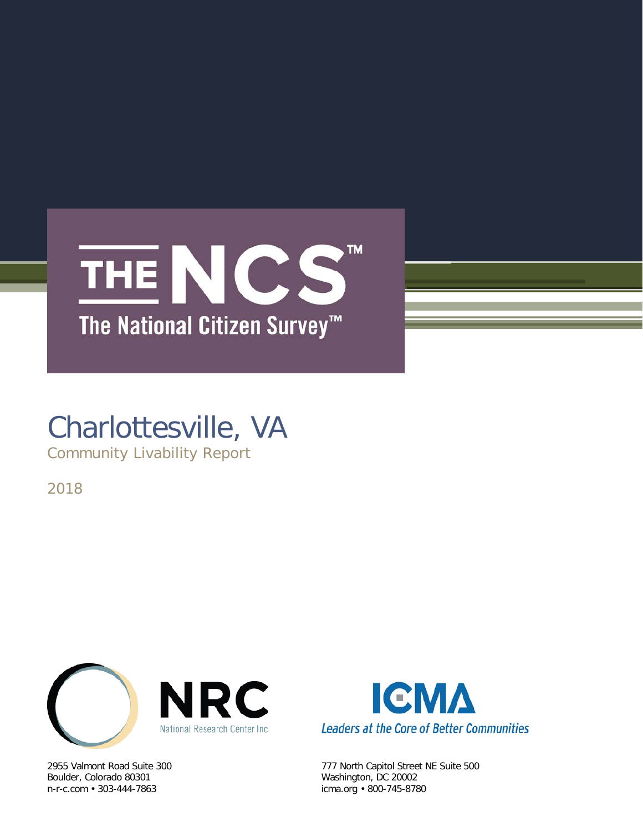

# Charlottesville, VA

Community Livability Report

2018



Boulder, Colorado 80301 Washington, DC 20002



2955 Valmont Road Suite 300 777 North Capitol Street NE Suite 500 icma.org • 800-745-8780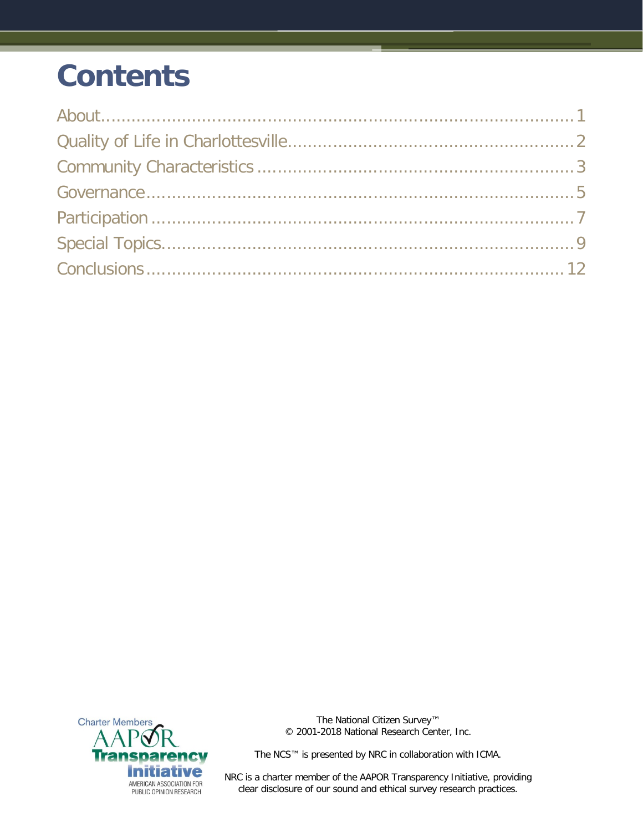# **Contents**



The National Citizen Survey™ © 2001-2018 National Research Center, Inc.

The NCS™ is presented by NRC in collaboration with ICMA.

NRC is a charter member of the AAPOR Transparency Initiative, providing clear disclosure of our sound and ethical survey research practices.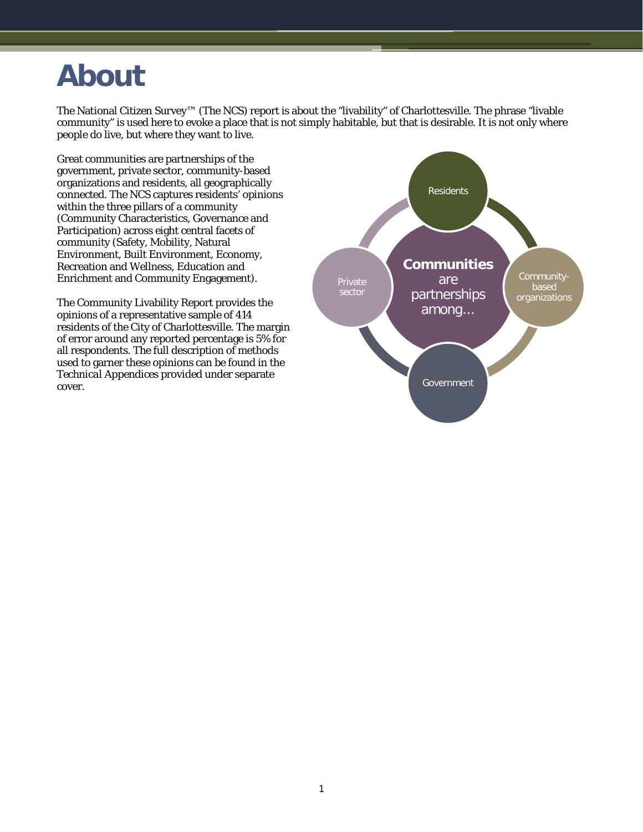# <span id="page-2-0"></span>**About**

The National Citizen Survey™ (The NCS) report is about the "livability" of Charlottesville. The phrase "livable community" is used here to evoke a place that is not simply habitable, but that is desirable. It is not only where people do live, but where they want to live.

Great communities are partnerships of the government, private sector, community-based organizations and residents, all geographically connected. The NCS captures residents' opinions within the three pillars of a community (Community Characteristics, Governance and Participation) across eight central facets of community (Safety, Mobility, Natural Environment, Built Environment, Economy, Recreation and Wellness, Education and Enrichment and Community Engagement).

The Community Livability Report provides the opinions of a representative sample of 414 residents of the City of Charlottesville. The margin of error around any reported percentage is 5% for all respondents. The full description of methods used to garner these opinions can be found in the *Technical Appendices* provided under separate cover.

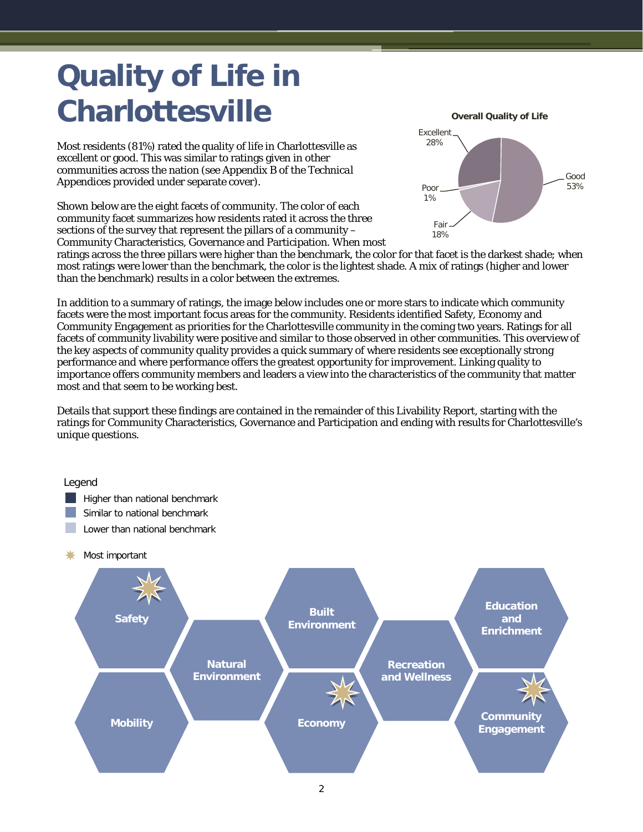# <span id="page-3-0"></span>**Quality of Life in Charlottesville**

Most residents (81%) rated the quality of life in Charlottesville as excellent or good. This was similar to ratings given in other communities across the nation (see Appendix B of the *Technical Appendices* provided under separate cover).

Shown below are the eight facets of community. The color of each community facet summarizes how residents rated it across the three sections of the survey that represent the pillars of a community – Community Characteristics, Governance and Participation. When most



ratings across the three pillars were higher than the benchmark, the color for that facet is the darkest shade; when most ratings were lower than the benchmark, the color is the lightest shade. A mix of ratings (higher and lower than the benchmark) results in a color between the extremes.

In addition to a summary of ratings, the image below includes one or more stars to indicate which community facets were the most important focus areas for the community. Residents identified Safety, Economy and Community Engagement as priorities for the Charlottesville community in the coming two years. Ratings for all facets of community livability were positive and similar to those observed in other communities. This overview of the key aspects of community quality provides a quick summary of where residents see exceptionally strong performance and where performance offers the greatest opportunity for improvement. Linking quality to importance offers community members and leaders a view into the characteristics of the community that matter most and that seem to be working best.

Details that support these findings are contained in the remainder of this Livability Report, starting with the ratings for Community Characteristics, Governance and Participation and ending with results for Charlottesville's unique questions.

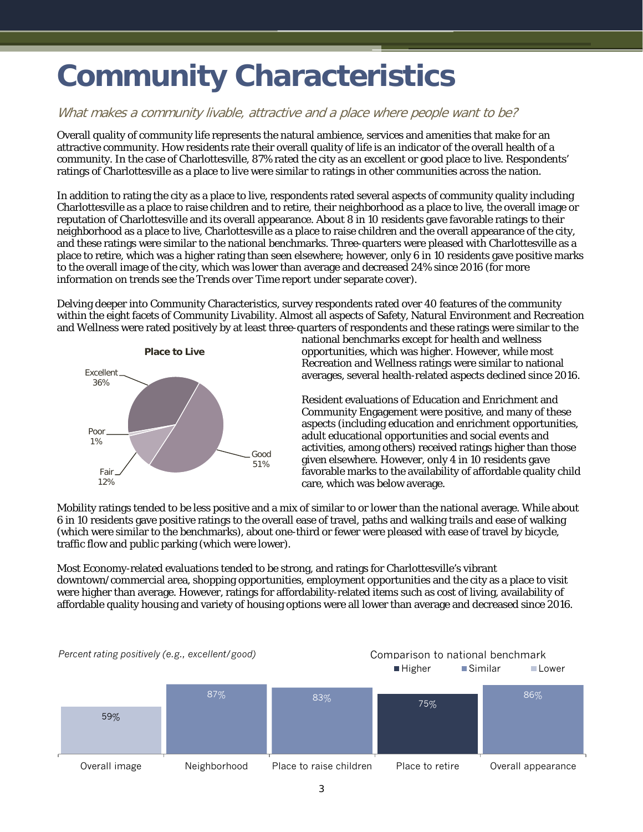# <span id="page-4-0"></span>**Community Characteristics**

### What makes a community livable, attractive and a place where people want to be?

Overall quality of community life represents the natural ambience, services and amenities that make for an attractive community. How residents rate their overall quality of life is an indicator of the overall health of a community. In the case of Charlottesville, 87% rated the city as an excellent or good place to live. Respondents' ratings of Charlottesville as a place to live were similar to ratings in other communities across the nation.

In addition to rating the city as a place to live, respondents rated several aspects of community quality including Charlottesville as a place to raise children and to retire, their neighborhood as a place to live, the overall image or reputation of Charlottesville and its overall appearance. About 8 in 10 residents gave favorable ratings to their neighborhood as a place to live, Charlottesville as a place to raise children and the overall appearance of the city, and these ratings were similar to the national benchmarks. Three-quarters were pleased with Charlottesville as a place to retire, which was a higher rating than seen elsewhere; however, only 6 in 10 residents gave positive marks to the overall image of the city, which was lower than average and decreased 24% since 2016 (for more information on trends see the *Trends over Time* report under separate cover).

Delving deeper into Community Characteristics, survey respondents rated over 40 features of the community within the eight facets of Community Livability. Almost all aspects of Safety, Natural Environment and Recreation and Wellness were rated positively by at least three-quarters of respondents and these ratings were similar to the



national benchmarks except for health and wellness opportunities, which was higher. However, while most Recreation and Wellness ratings were similar to national averages, several health-related aspects declined since 2016.

Resident evaluations of Education and Enrichment and Community Engagement were positive, and many of these aspects (including education and enrichment opportunities, adult educational opportunities and social events and activities, among others) received ratings higher than those given elsewhere. However, only 4 in 10 residents gave favorable marks to the availability of affordable quality child care, which was below average.

Mobility ratings tended to be less positive and a mix of similar to or lower than the national average. While about 6 in 10 residents gave positive ratings to the overall ease of travel, paths and walking trails and ease of walking (which were similar to the benchmarks), about one-third or fewer were pleased with ease of travel by bicycle, traffic flow and public parking (which were lower).

Most Economy-related evaluations tended to be strong, and ratings for Charlottesville's vibrant downtown/commercial area, shopping opportunities, employment opportunities and the city as a place to visit were higher than average. However, ratings for affordability-related items such as cost of living, availability of affordable quality housing and variety of housing options were all lower than average and decreased since 2016.

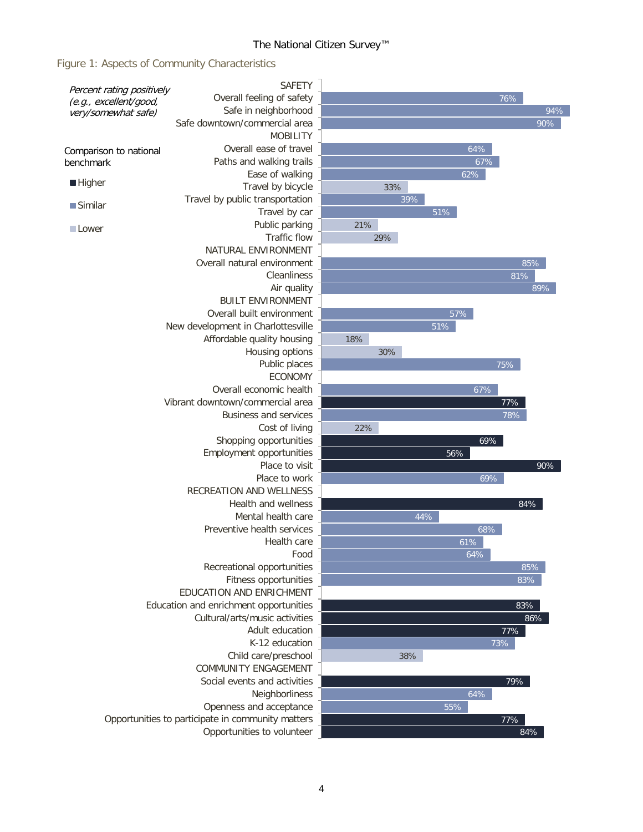#### The National Citizen Survey™

Figure 1: Aspects of Community Characteristics

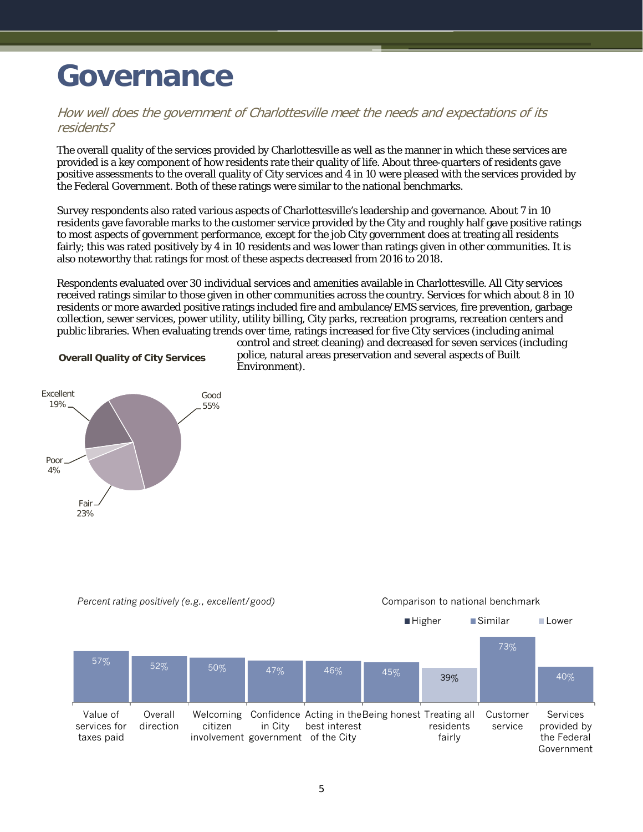## <span id="page-6-0"></span>**Governance**

### How well does the government of Charlottesville meet the needs and expectations of its residents?

The overall quality of the services provided by Charlottesville as well as the manner in which these services are provided is a key component of how residents rate their quality of life. About three-quarters of residents gave positive assessments to the overall quality of City services and 4 in 10 were pleased with the services provided by the Federal Government. Both of these ratings were similar to the national benchmarks.

Survey respondents also rated various aspects of Charlottesville's leadership and governance. About 7 in 10 residents gave favorable marks to the customer service provided by the City and roughly half gave positive ratings to most aspects of government performance, except for the job City government does at treating all residents fairly; this was rated positively by 4 in 10 residents and was lower than ratings given in other communities. It is also noteworthy that ratings for most of these aspects decreased from 2016 to 2018.

Respondents evaluated over 30 individual services and amenities available in Charlottesville. All City services received ratings similar to those given in other communities across the country. Services for which about 8 in 10 residents or more awarded positive ratings included fire and ambulance/EMS services, fire prevention, garbage collection, sewer services, power utility, utility billing, City parks, recreation programs, recreation centers and public libraries. When evaluating trends over time, ratings increased for five City services (including animal

**Overall Quality of City Services**



control and street cleaning) and decreased for seven services (including police, natural areas preservation and several aspects of Built Environment).

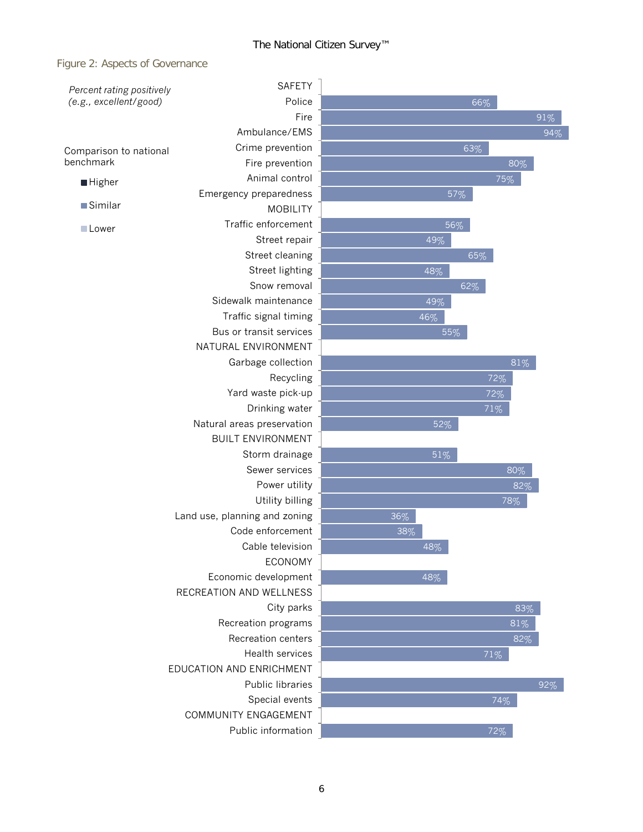#### Figure 2: Aspects of Governance

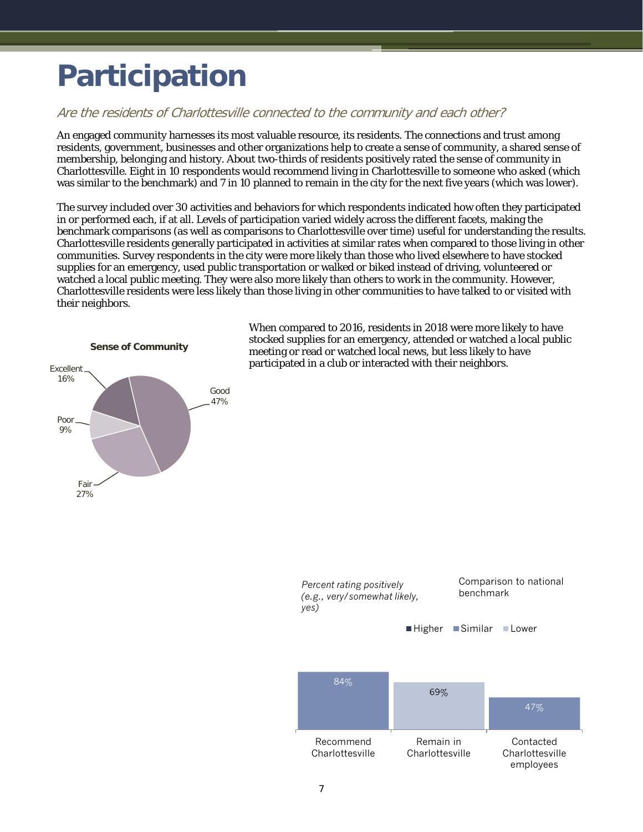# <span id="page-8-0"></span>**Participation**

## Are the residents of Charlottesville connected to the community and each other?

An engaged community harnesses its most valuable resource, its residents. The connections and trust among residents, government, businesses and other organizations help to create a sense of community, a shared sense of membership, belonging and history. About two-thirds of residents positively rated the sense of community in Charlottesville. Eight in 10 respondents would recommend living in Charlottesville to someone who asked (which was similar to the benchmark) and 7 in 10 planned to remain in the city for the next five years (which was lower).

The survey included over 30 activities and behaviors for which respondents indicated how often they participated in or performed each, if at all. Levels of participation varied widely across the different facets, making the benchmark comparisons (as well as comparisons to Charlottesville over time) useful for understanding the results. Charlottesville residents generally participated in activities at similar rates when compared to those living in other communities. Survey respondents in the city were more likely than those who lived elsewhere to have stocked supplies for an emergency, used public transportation or walked or biked instead of driving, volunteered or watched a local public meeting. They were also more likely than others to work in the community. However, Charlottesville residents were less likely than those living in other communities to have talked to or visited with their neighbors.



When compared to 2016, residents in 2018 were more likely to have stocked supplies for an emergency, attended or watched a local public meeting or read or watched local news, but less likely to have participated in a club or interacted with their neighbors.

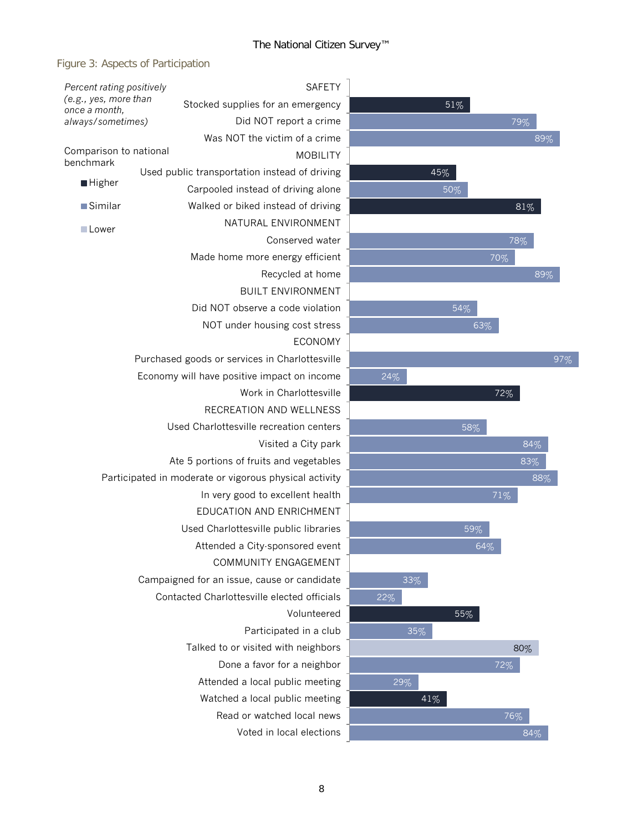### Figure 3: Aspects of Participation

| Percent rating positively                                   |  |                                                        | <b>SAFETY</b>   |     |        |  |  |
|-------------------------------------------------------------|--|--------------------------------------------------------|-----------------|-----|--------|--|--|
| (e.g., yes, more than<br>once a month,<br>always/sometimes) |  | Stocked supplies for an emergency                      |                 |     | 51%    |  |  |
|                                                             |  | Did NOT report a crime                                 |                 |     |        |  |  |
|                                                             |  | Was NOT the victim of a crime                          |                 |     |        |  |  |
| Comparison to national<br>benchmark                         |  |                                                        | <b>MOBILITY</b> |     |        |  |  |
|                                                             |  | Used public transportation instead of driving          |                 | 45% |        |  |  |
| ■ Higher                                                    |  | Carpooled instead of driving alone                     |                 |     | 50%    |  |  |
| $\blacksquare$ Similar                                      |  | Walked or biked instead of driving                     |                 |     |        |  |  |
| <b>Lower</b>                                                |  | NATURAL ENVIRONMENT                                    |                 |     |        |  |  |
|                                                             |  | Conserved water                                        |                 |     |        |  |  |
|                                                             |  | Made home more energy efficient                        |                 |     |        |  |  |
|                                                             |  | Recycled at home                                       |                 |     |        |  |  |
|                                                             |  | <b>BUILT ENVIRONMENT</b>                               |                 |     |        |  |  |
|                                                             |  | Did NOT observe a code violation                       |                 |     | 54%    |  |  |
|                                                             |  | NOT under housing cost stress                          |                 |     | 63     |  |  |
|                                                             |  |                                                        | <b>ECONOMY</b>  |     |        |  |  |
|                                                             |  | Purchased goods or services in Charlottesville         |                 |     |        |  |  |
|                                                             |  | Economy will have positive impact on income            |                 | 24% |        |  |  |
|                                                             |  | Work in Charlottesville                                |                 |     |        |  |  |
|                                                             |  | RECREATION AND WELLNESS                                |                 |     |        |  |  |
|                                                             |  | Used Charlottesville recreation centers                |                 |     | 58%    |  |  |
|                                                             |  | Visited a City park                                    |                 |     |        |  |  |
|                                                             |  | Ate 5 portions of fruits and vegetables                |                 |     |        |  |  |
|                                                             |  | Participated in moderate or vigorous physical activity |                 |     |        |  |  |
|                                                             |  | In very good to excellent health                       |                 |     |        |  |  |
|                                                             |  | <b>EDUCATION AND ENRICHMENT</b>                        |                 |     |        |  |  |
|                                                             |  | Used Charlottesville public libraries                  |                 |     | 59%    |  |  |
|                                                             |  | Attended a City-sponsored event                        |                 |     | 64     |  |  |
|                                                             |  | COMMUNITY ENGAGEMENT                                   |                 |     |        |  |  |
|                                                             |  | Campaigned for an issue, cause or candidate            |                 | 33% |        |  |  |
|                                                             |  | Contacted Charlottesville elected officials            |                 | 22% |        |  |  |
|                                                             |  | Volunteered                                            |                 |     | 55%    |  |  |
|                                                             |  | Participated in a club                                 |                 |     | $35\%$ |  |  |
|                                                             |  | Talked to or visited with neighbors                    |                 |     |        |  |  |
|                                                             |  | Done a favor for a neighbor                            |                 |     |        |  |  |
|                                                             |  | Attended a local public meeting                        |                 | 29% |        |  |  |
|                                                             |  | Watched a local public meeting                         |                 |     | 41%    |  |  |
|                                                             |  | Read or watched local news                             |                 |     |        |  |  |
|                                                             |  | Voted in local elections                               |                 |     |        |  |  |
|                                                             |  |                                                        |                 |     |        |  |  |

72%

63%

70%

71%

88%

97%

83%  $84%$ 

84%

76%

72%

80%

64%

 $81%$ 

79%

78%

89%

89%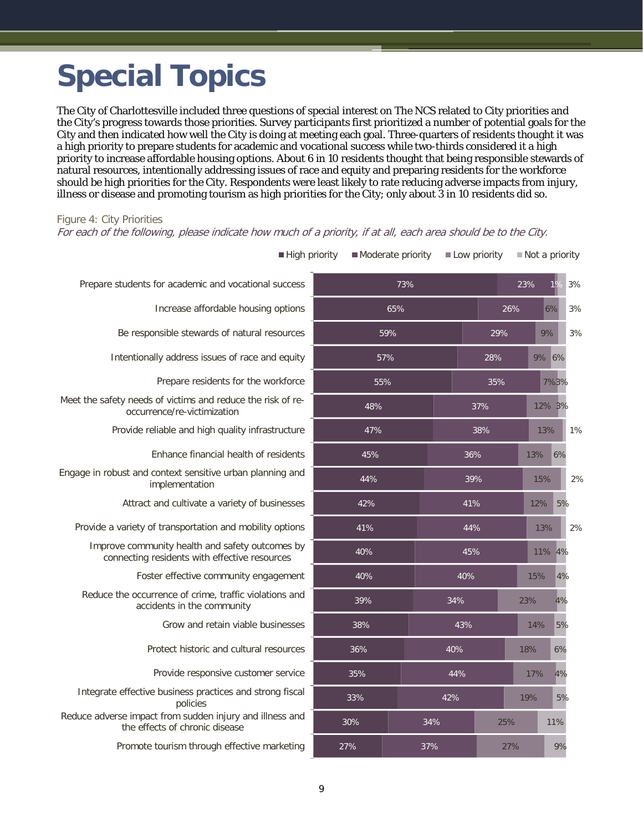# <span id="page-10-0"></span>**Special Topics**

The City of Charlottesville included three questions of special interest on The NCS related to City priorities and the City's progress towards those priorities. Survey participants first prioritized a number of potential goals for the City and then indicated how well the City is doing at meeting each goal. Three-quarters of residents thought it was a high priority to prepare students for academic and vocational success while two-thirds considered it a high priority to increase affordable housing options. About 6 in 10 residents thought that being responsible stewards of natural resources, intentionally addressing issues of race and equity and preparing residents for the workforce should be high priorities for the City. Respondents were least likely to rate reducing adverse impacts from injury, illness or disease and promoting tourism as high priorities for the City; only about 3 in 10 residents did so.

#### Figure 4: City Priorities

For each of the following, please indicate how much of a priority, if at all, each area should be to the City.

| High priority                                                                                    |     | Moderate priority | Low priority |     |     | Not a priority |    |     |     |  |    |  |
|--------------------------------------------------------------------------------------------------|-----|-------------------|--------------|-----|-----|----------------|----|-----|-----|--|----|--|
| Prepare students for academic and vocational success                                             |     | 73%               |              |     | 23% | 19             |    | 3%  |     |  |    |  |
| Increase affordable housing options                                                              | 65% |                   |              | 26% |     | 6%             |    | 3%  |     |  |    |  |
| Be responsible stewards of natural resources                                                     |     | 59%               |              |     |     | 9%             |    | 3%  |     |  |    |  |
| Intentionally address issues of race and equity                                                  |     | 57%               |              |     |     | 9% 6%          |    |     |     |  |    |  |
| Prepare residents for the workforce                                                              |     | 55%               |              |     |     | 7%3%           |    |     |     |  |    |  |
| Meet the safety needs of victims and reduce the risk of re-<br>occurrence/re-victimization       |     | 48%               |              | 37% |     | 12% 3%         |    |     |     |  |    |  |
| Provide reliable and high quality infrastructure                                                 |     | 47%               |              | 38% |     | 13%            |    | 1%  |     |  |    |  |
| Enhance financial health of residents                                                            |     | 45%               |              | 36% |     | 13%            | 6% |     |     |  |    |  |
| Engage in robust and context sensitive urban planning and<br>implementation                      | 44% |                   |              | 39% |     | 15%            |    | 2%  |     |  |    |  |
| Attract and cultivate a variety of businesses                                                    | 42% |                   |              | 41% |     | 12%            | 5% |     |     |  |    |  |
| Provide a variety of transportation and mobility options                                         | 41% |                   | 44%          |     |     | 13%            |    | 2%  |     |  |    |  |
| Improve community health and safety outcomes by<br>connecting residents with effective resources | 40% |                   | 45%          |     |     | 11% 4%         |    |     |     |  |    |  |
| Foster effective community engagement                                                            | 40% |                   | 40%          |     |     | 15%            | 4% |     |     |  |    |  |
| Reduce the occurrence of crime, traffic violations and<br>accidents in the community             | 39% |                   | 34%          |     |     |                |    |     | 23% |  | 4% |  |
| Grow and retain viable businesses                                                                | 38% |                   | 43%          |     |     |                |    | 14% | 5%  |  |    |  |
| Protect historic and cultural resources                                                          | 36% | 40%               |              |     |     | 18%            | 6% |     |     |  |    |  |
| Provide responsive customer service                                                              | 35% |                   |              | 44% |     | 17%            | 4% |     |     |  |    |  |
| Integrate effective business practices and strong fiscal<br>policies                             | 33% |                   | 42%          |     | 19% |                | 5% |     |     |  |    |  |
| Reduce adverse impact from sudden injury and illness and<br>the effects of chronic disease       | 30% |                   | 34%<br>25%   |     |     | 11%            |    |     |     |  |    |  |
| Promote tourism through effective marketing                                                      | 27% | 37%               |              | 27% |     |                | 9% |     |     |  |    |  |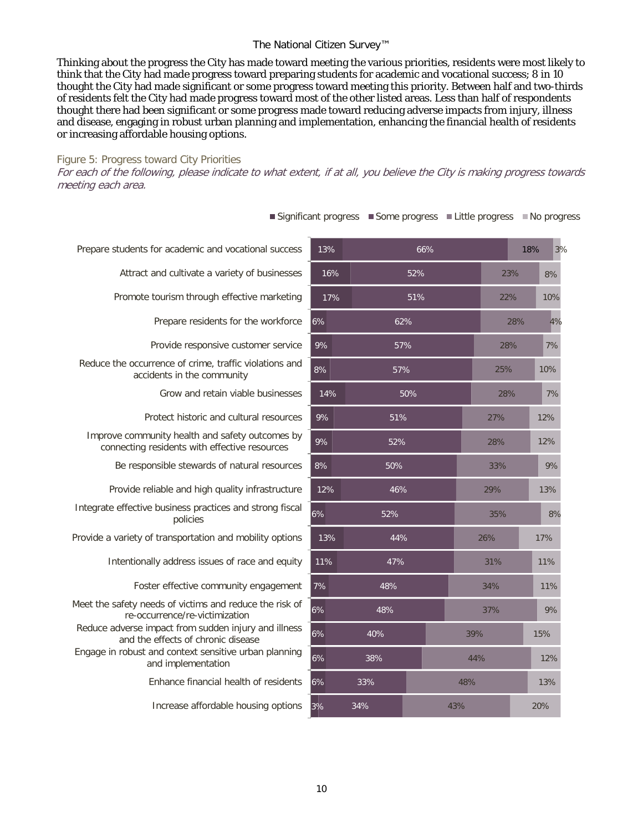#### The National Citizen Survey™

Thinking about the progress the City has made toward meeting the various priorities, residents were most likely to think that the City had made progress toward preparing students for academic and vocational success; 8 in 10 thought the City had made significant or some progress toward meeting this priority. Between half and two-thirds of residents felt the City had made progress toward most of the other listed areas. Less than half of respondents thought there had been significant or some progress made toward reducing adverse impacts from injury, illness and disease, engaging in robust urban planning and implementation, enhancing the financial health of residents or increasing affordable housing options.

#### Figure 5: Progress toward City Priorities

For each of the following, please indicate to what extent, if at all, you believe the City is making progress towards meeting each area.

| Prepare students for academic and vocational success                                             | 13% | 66% |  |  |
|--------------------------------------------------------------------------------------------------|-----|-----|--|--|
| Attract and cultivate a variety of businesses                                                    | 16% | 52% |  |  |
| Promote tourism through effective marketing                                                      | 17% | 51% |  |  |
| Prepare residents for the workforce                                                              | 6%  | 62% |  |  |
| Provide responsive customer service                                                              | 9%  | 57% |  |  |
| Reduce the occurrence of crime, traffic violations and<br>accidents in the community             | 8%  | 57% |  |  |
| Grow and retain viable businesses                                                                | 14% | 50% |  |  |
| Protect historic and cultural resources                                                          | 9%  | 51% |  |  |
| Improve community health and safety outcomes by<br>connecting residents with effective resources | 9%  | 52% |  |  |
| Be responsible stewards of natural resources                                                     | 8%  | 50% |  |  |
| Provide reliable and high quality infrastructure                                                 | 12% | 46% |  |  |
| Integrate effective business practices and strong fiscal<br>policies                             | 6%  | 52% |  |  |
| Provide a variety of transportation and mobility options                                         | 13% | 44% |  |  |
| Intentionally address issues of race and equity                                                  | 11% | 47% |  |  |
| Foster effective community engagement                                                            | 7%  | 48% |  |  |
| Meet the safety needs of victims and reduce the risk of<br>re-occurrence/re-victimization        | 6%  | 48% |  |  |
| Reduce adverse impact from sudden injury and illness<br>and the effects of chronic disease       | 6%  | 40% |  |  |
| Engage in robust and context sensitive urban planning<br>and implementation                      | 6%  | 38% |  |  |
| Enhance financial health of residents                                                            | 6%  | 33% |  |  |
| Increase affordable housing options                                                              | 3%  | 34% |  |  |
|                                                                                                  |     |     |  |  |

 $\blacksquare$  Significant progress  $\blacksquare$  Some progress  $\blacksquare$  Little progress  $\blacksquare$  No progress

43%

48%

44%

39%

37%

20%

13%

12%

9%

11%

11%

17%

8%

13%

9%

12%

12%

7%

10%

7%

4%

10%

8%

3%

15%

34%

31%

35%

33%

28%

27%

28%

25%

28%

22%

23%

18%

28%

29%

26%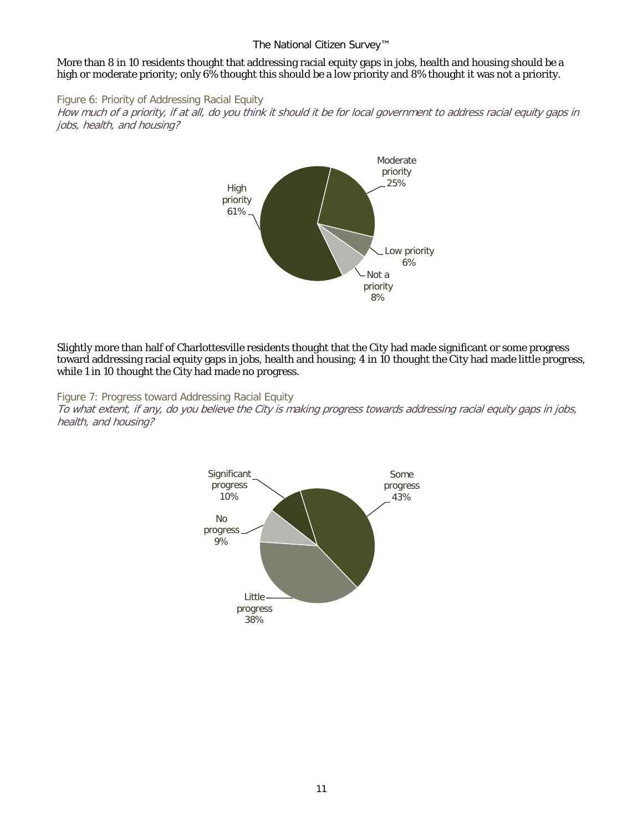#### The National Citizen Survey™

#### More than 8 in 10 residents thought that addressing racial equity gaps in jobs, health and housing should be a high or moderate priority; only 6% thought this should be a low priority and 8% thought it was not a priority.

Figure 6: Priority of Addressing Racial Equity How much of a priority, if at all, do you think it should it be for local government to address racial equity gaps in jobs, health, and housing?



Slightly more than half of Charlottesville residents thought that the City had made significant or some progress toward addressing racial equity gaps in jobs, health and housing; 4 in 10 thought the City had made little progress, while 1 in 10 thought the City had made no progress.

Figure 7: Progress toward Addressing Racial Equity

To what extent, if any, do you believe the City is making progress towards addressing racial equity gaps in jobs, health, and housing?